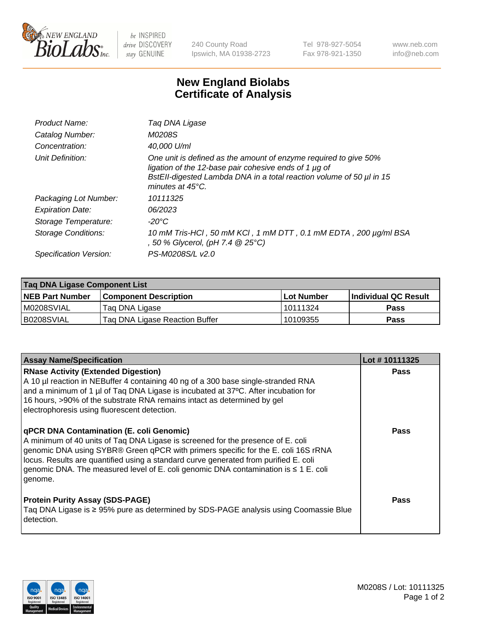

 $be$  INSPIRED drive DISCOVERY stay GENUINE

240 County Road Ipswich, MA 01938-2723 Tel 978-927-5054 Fax 978-921-1350 www.neb.com info@neb.com

## **New England Biolabs Certificate of Analysis**

| Product Name:              | Tag DNA Ligase                                                                                                                                                                                                                  |
|----------------------------|---------------------------------------------------------------------------------------------------------------------------------------------------------------------------------------------------------------------------------|
| Catalog Number:            | M0208S                                                                                                                                                                                                                          |
| Concentration:             | 40.000 U/ml                                                                                                                                                                                                                     |
| Unit Definition:           | One unit is defined as the amount of enzyme required to give 50%<br>ligation of the 12-base pair cohesive ends of 1 µg of<br>BstEll-digested Lambda DNA in a total reaction volume of 50 µl in 15<br>minutes at $45^{\circ}$ C. |
| Packaging Lot Number:      | 10111325                                                                                                                                                                                                                        |
| <b>Expiration Date:</b>    | 06/2023                                                                                                                                                                                                                         |
| Storage Temperature:       | $-20^{\circ}$ C                                                                                                                                                                                                                 |
| <b>Storage Conditions:</b> | 10 mM Tris-HCl, 50 mM KCl, 1 mM DTT, 0.1 mM EDTA, 200 µg/ml BSA<br>, 50 % Glycerol, (pH 7.4 $@25°C$ )                                                                                                                           |
| Specification Version:     | PS-M0208S/L v2.0                                                                                                                                                                                                                |

| Taq DNA Ligase Component List |                                |                   |                      |  |
|-------------------------------|--------------------------------|-------------------|----------------------|--|
| <b>NEB Part Number</b>        | <b>Component Description</b>   | <b>Lot Number</b> | Individual QC Result |  |
| M0208SVIAL                    | Tag DNA Ligase                 | l 10111324        | <b>Pass</b>          |  |
| B0208SVIAL                    | Taq DNA Ligase Reaction Buffer | 10109355          | Pass                 |  |

| <b>Assay Name/Specification</b>                                                                                                                                                                                                                                                                                                                                                                                        | Lot #10111325 |
|------------------------------------------------------------------------------------------------------------------------------------------------------------------------------------------------------------------------------------------------------------------------------------------------------------------------------------------------------------------------------------------------------------------------|---------------|
| <b>RNase Activity (Extended Digestion)</b><br>A 10 µl reaction in NEBuffer 4 containing 40 ng of a 300 base single-stranded RNA<br>and a minimum of 1 µl of Taq DNA Ligase is incubated at 37°C. After incubation for<br>16 hours, >90% of the substrate RNA remains intact as determined by gel<br>electrophoresis using fluorescent detection.                                                                       | <b>Pass</b>   |
| <b>qPCR DNA Contamination (E. coli Genomic)</b><br>A minimum of 40 units of Taq DNA Ligase is screened for the presence of E. coli<br>genomic DNA using SYBR® Green qPCR with primers specific for the E. coli 16S rRNA<br>locus. Results are quantified using a standard curve generated from purified E. coli<br>genomic DNA. The measured level of E. coli genomic DNA contamination is $\leq 1$ E. coli<br>genome. | <b>Pass</b>   |
| <b>Protein Purity Assay (SDS-PAGE)</b><br>Taq DNA Ligase is ≥ 95% pure as determined by SDS-PAGE analysis using Coomassie Blue<br>detection.                                                                                                                                                                                                                                                                           | <b>Pass</b>   |